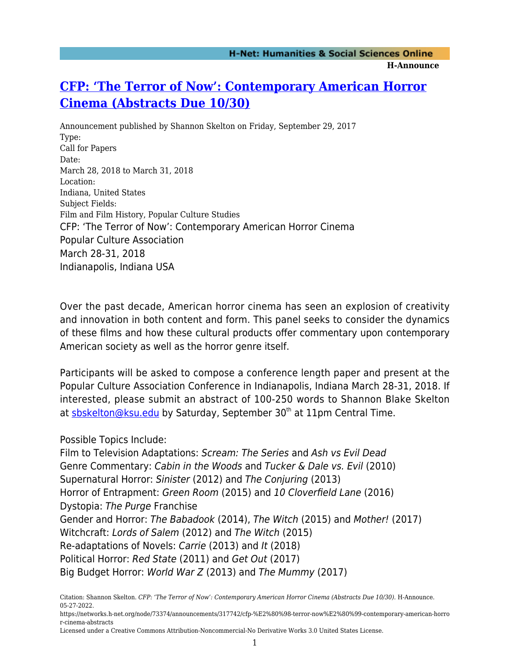## **[CFP: 'The Terror of Now': Contemporary American Horror](https://networks.h-net.org/node/73374/announcements/317742/cfp-%E2%80%98-terror-now%E2%80%99-contemporary-american-horror-cinema-abstracts) [Cinema \(Abstracts Due 10/30\)](https://networks.h-net.org/node/73374/announcements/317742/cfp-%E2%80%98-terror-now%E2%80%99-contemporary-american-horror-cinema-abstracts)**

Announcement published by Shannon Skelton on Friday, September 29, 2017 Type: Call for Papers Date: March 28, 2018 to March 31, 2018 Location: Indiana, United States Subject Fields: Film and Film History, Popular Culture Studies CFP: 'The Terror of Now': Contemporary American Horror Cinema Popular Culture Association March 28-31, 2018 Indianapolis, Indiana USA

Over the past decade, American horror cinema has seen an explosion of creativity and innovation in both content and form. This panel seeks to consider the dynamics of these films and how these cultural products offer commentary upon contemporary American society as well as the horror genre itself.

Participants will be asked to compose a conference length paper and present at the Popular Culture Association Conference in Indianapolis, Indiana March 28-31, 2018. If interested, please submit an abstract of 100-250 words to Shannon Blake Skelton at [sbskelton@ksu.edu](mailto:sbskelton@ksu.edu) by Saturday, September 30<sup>th</sup> at 11pm Central Time.

Possible Topics Include:

Film to Television Adaptations: Scream: The Series and Ash vs Evil Dead Genre Commentary: Cabin in the Woods and Tucker & Dale vs. Evil (2010) Supernatural Horror: Sinister (2012) and The Conjuring (2013) Horror of Entrapment: Green Room (2015) and 10 Cloverfield Lane (2016) Dystopia: The Purge Franchise Gender and Horror: The Babadook (2014), The Witch (2015) and Mother! (2017) Witchcraft: Lords of Salem (2012) and The Witch (2015) Re-adaptations of Novels: Carrie (2013) and It (2018) Political Horror: Red State (2011) and Get Out (2017) Big Budget Horror: World War Z (2013) and The Mummy (2017)

Citation: Shannon Skelton. *CFP: 'The Terror of Now': Contemporary American Horror Cinema (Abstracts Due 10/30)*. H-Announce. 05-27-2022.

https://networks.h-net.org/node/73374/announcements/317742/cfp-%E2%80%98-terror-now%E2%80%99-contemporary-american-horro r-cinema-abstracts

Licensed under a Creative Commons Attribution-Noncommercial-No Derivative Works 3.0 United States License.